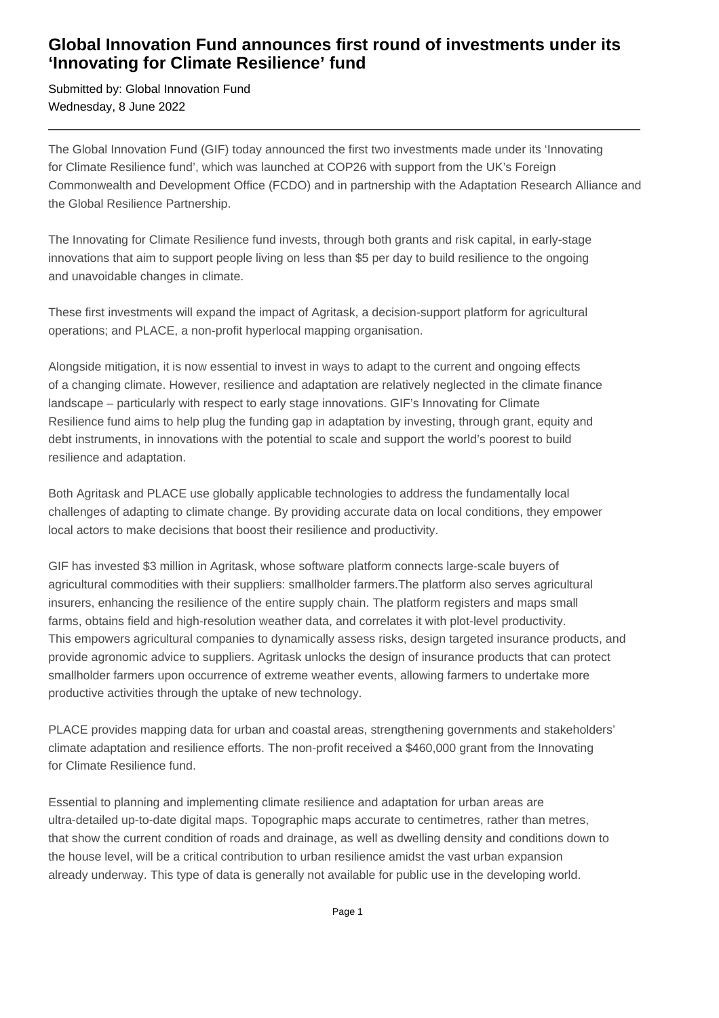## **Global Innovation Fund announces first round of investments under its 'Innovating for Climate Resilience' fund**

Submitted by: Global Innovation Fund Wednesday, 8 June 2022

The Global Innovation Fund (GIF) today announced the first two investments made under its 'Innovating for Climate Resilience fund', which was launched at COP26 with support from the UK's Foreign Commonwealth and Development Office (FCDO) and in partnership with the Adaptation Research Alliance and the Global Resilience Partnership.

The Innovating for Climate Resilience fund invests, through both grants and risk capital, in early-stage innovations that aim to support people living on less than \$5 per day to build resilience to the ongoing and unavoidable changes in climate.

These first investments will expand the impact of Agritask, a decision-support platform for agricultural operations; and PLACE, a non-profit hyperlocal mapping organisation.

Alongside mitigation, it is now essential to invest in ways to adapt to the current and ongoing effects of a changing climate. However, resilience and adaptation are relatively neglected in the climate finance landscape – particularly with respect to early stage innovations. GIF's Innovating for Climate Resilience fund aims to help plug the funding gap in adaptation by investing, through grant, equity and debt instruments, in innovations with the potential to scale and support the world's poorest to build resilience and adaptation.

Both Agritask and PLACE use globally applicable technologies to address the fundamentally local challenges of adapting to climate change. By providing accurate data on local conditions, they empower local actors to make decisions that boost their resilience and productivity.

GIF has invested \$3 million in Agritask, whose software platform connects large-scale buyers of agricultural commodities with their suppliers: smallholder farmers.The platform also serves agricultural insurers, enhancing the resilience of the entire supply chain. The platform registers and maps small farms, obtains field and high-resolution weather data, and correlates it with plot-level productivity. This empowers agricultural companies to dynamically assess risks, design targeted insurance products, and provide agronomic advice to suppliers. Agritask unlocks the design of insurance products that can protect smallholder farmers upon occurrence of extreme weather events, allowing farmers to undertake more productive activities through the uptake of new technology.

PLACE provides mapping data for urban and coastal areas, strengthening governments and stakeholders' climate adaptation and resilience efforts. The non-profit received a \$460,000 grant from the Innovating for Climate Resilience fund.

Essential to planning and implementing climate resilience and adaptation for urban areas are ultra-detailed up-to-date digital maps. Topographic maps accurate to centimetres, rather than metres, that show the current condition of roads and drainage, as well as dwelling density and conditions down to the house level, will be a critical contribution to urban resilience amidst the vast urban expansion already underway. This type of data is generally not available for public use in the developing world.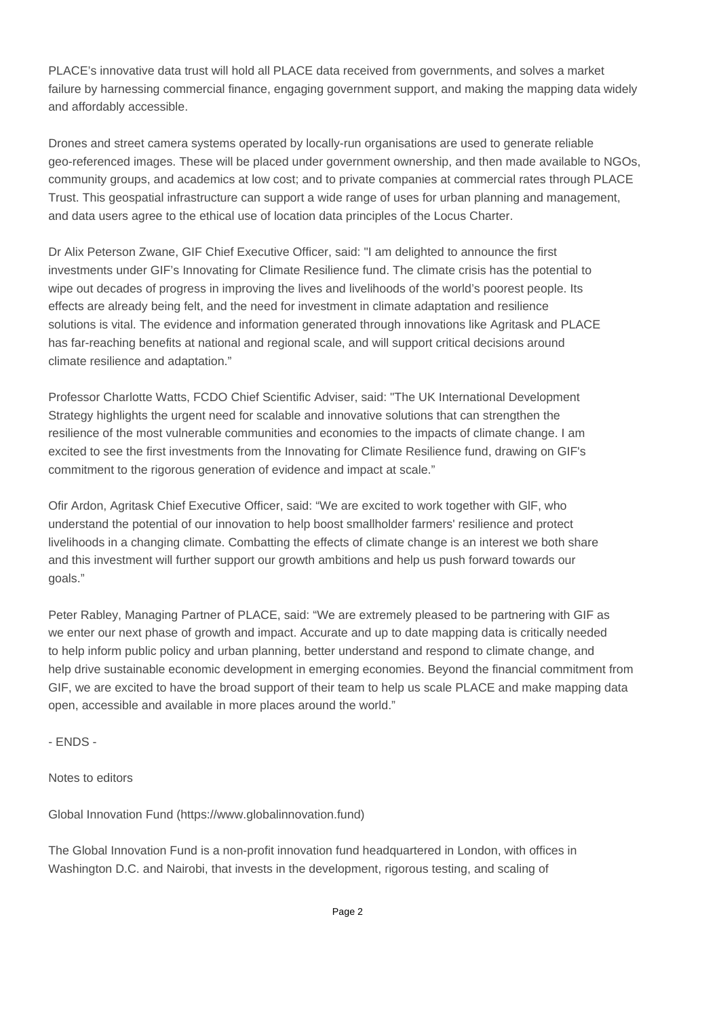PLACE's innovative data trust will hold all PLACE data received from governments, and solves a market failure by harnessing commercial finance, engaging government support, and making the mapping data widely and affordably accessible.

Drones and street camera systems operated by locally-run organisations are used to generate reliable geo-referenced images. These will be placed under government ownership, and then made available to NGOs, community groups, and academics at low cost; and to private companies at commercial rates through PLACE Trust. This geospatial infrastructure can support a wide range of uses for urban planning and management, and data users agree to the ethical use of location data principles of the Locus Charter.

Dr Alix Peterson Zwane, GIF Chief Executive Officer, said: "I am delighted to announce the first investments under GIF's Innovating for Climate Resilience fund. The climate crisis has the potential to wipe out decades of progress in improving the lives and livelihoods of the world's poorest people. Its effects are already being felt, and the need for investment in climate adaptation and resilience solutions is vital. The evidence and information generated through innovations like Agritask and PLACE has far-reaching benefits at national and regional scale, and will support critical decisions around climate resilience and adaptation."

Professor Charlotte Watts, FCDO Chief Scientific Adviser, said: "The UK International Development Strategy highlights the urgent need for scalable and innovative solutions that can strengthen the resilience of the most vulnerable communities and economies to the impacts of climate change. I am excited to see the first investments from the Innovating for Climate Resilience fund, drawing on GIF's commitment to the rigorous generation of evidence and impact at scale."

Ofir Ardon, Agritask Chief Executive Officer, said: "We are excited to work together with GlF, who understand the potential of our innovation to help boost smallholder farmers' resilience and protect livelihoods in a changing climate. Combatting the effects of climate change is an interest we both share and this investment will further support our growth ambitions and help us push forward towards our goals."

Peter Rabley, Managing Partner of PLACE, said: "We are extremely pleased to be partnering with GIF as we enter our next phase of growth and impact. Accurate and up to date mapping data is critically needed to help inform public policy and urban planning, better understand and respond to climate change, and help drive sustainable economic development in emerging economies. Beyond the financial commitment from GIF, we are excited to have the broad support of their team to help us scale PLACE and make mapping data open, accessible and available in more places around the world."

- ENDS -

Notes to editors

Global Innovation Fund (https://www.globalinnovation.fund)

The Global Innovation Fund is a non-profit innovation fund headquartered in London, with offices in Washington D.C. and Nairobi, that invests in the development, rigorous testing, and scaling of